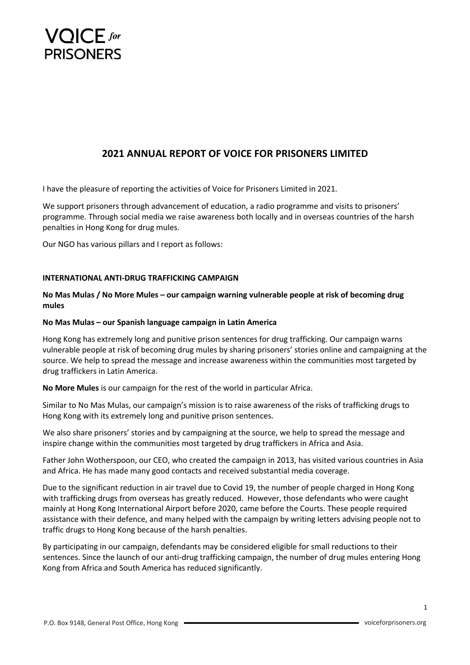

# **2021 ANNUAL REPORT OF VOICE FOR PRISONERS LIMITED**

I have the pleasure of reporting the activities of Voice for Prisoners Limited in 2021.

We support prisoners through advancement of education, a radio programme and visits to prisoners' programme. Through social media we raise awareness both locally and in overseas countries of the harsh penalties in Hong Kong for drug mules.

Our NGO has various pillars and I report as follows:

## **INTERNATIONAL ANTI-DRUG TRAFFICKING CAMPAIGN**

# **No Mas Mulas / No More Mules – our campaign warning vulnerable people at risk of becoming drug mules**

#### **No Mas Mulas – our Spanish language campaign in Latin America**

Hong Kong has extremely long and punitive prison sentences for drug trafficking. Our campaign warns vulnerable people at risk of becoming drug mules by sharing prisoners' stories online and campaigning at the source. We help to spread the message and increase awareness within the communities most targeted by drug traffickers in Latin America.

**No More Mules** is our campaign for the rest of the world in particular Africa.

Similar to No Mas Mulas, our campaign's mission is to raise awareness of the risks of trafficking drugs to Hong Kong with its extremely long and punitive prison sentences.

We also share prisoners' stories and by campaigning at the source, we help to spread the message and inspire change within the communities most targeted by drug traffickers in Africa and Asia.

Father John Wotherspoon, our CEO, who created the campaign in 2013, has visited various countries in Asia and Africa. He has made many good contacts and received substantial media coverage.

Due to the significant reduction in air travel due to Covid 19, the number of people charged in Hong Kong with trafficking drugs from overseas has greatly reduced. However, those defendants who were caught mainly at Hong Kong International Airport before 2020, came before the Courts. These people required assistance with their defence, and many helped with the campaign by writing letters advising people not to traffic drugs to Hong Kong because of the harsh penalties.

By participating in our campaign, defendants may be considered eligible for small reductions to their sentences. Since the launch of our anti-drug trafficking campaign, the number of drug mules entering Hong Kong from Africa and South America has reduced significantly.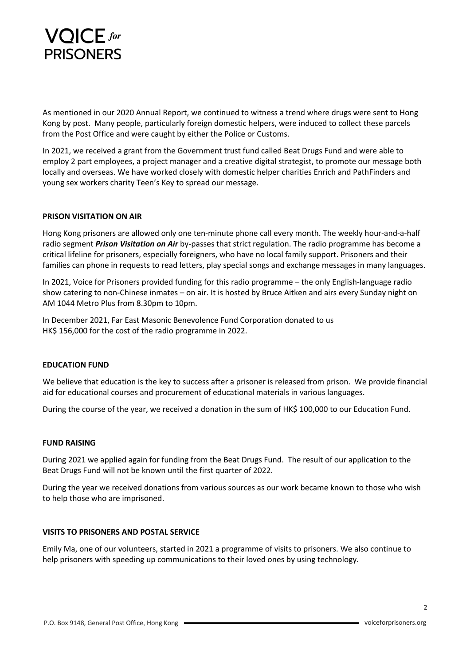

As mentioned in our 2020 Annual Report, we continued to witness a trend where drugs were sent to Hong Kong by post. Many people, particularly foreign domestic helpers, were induced to collect these parcels from the Post Office and were caught by either the Police or Customs.

In 2021, we received a grant from the Government trust fund called Beat Drugs Fund and were able to employ 2 part employees, a project manager and a creative digital strategist, to promote our message both locally and overseas. We have worked closely with domestic helper charities Enrich and PathFinders and young sex workers charity Teen's Key to spread our message.

#### **PRISON VISITATION ON AIR**

Hong Kong prisoners are allowed only one ten-minute phone call every month. The weekly hour-and-a-half radio segment *Prison Visitation on Air* by-passes that strict regulation. The radio programme has become a critical lifeline for prisoners, especially foreigners, who have no local family support. Prisoners and their families can phone in requests to read letters, play special songs and exchange messages in many languages.

In 2021, Voice for Prisoners provided funding for this radio programme – the only English-language radio show catering to non-Chinese inmates – on air. It is hosted by Bruce Aitken and airs every Sunday night on AM 1044 Metro Plus from 8.30pm to 10pm.

In December 2021, Far East Masonic Benevolence Fund Corporation donated to us HK\$ 156,000 for the cost of the radio programme in 2022.

## **EDUCATION FUND**

We believe that education is the key to success after a prisoner is released from prison. We provide financial aid for educational courses and procurement of educational materials in various languages.

During the course of the year, we received a donation in the sum of HK\$ 100,000 to our Education Fund.

#### **FUND RAISING**

During 2021 we applied again for funding from the Beat Drugs Fund. The result of our application to the Beat Drugs Fund will not be known until the first quarter of 2022.

During the year we received donations from various sources as our work became known to those who wish to help those who are imprisoned.

#### **VISITS TO PRISONERS AND POSTAL SERVICE**

Emily Ma, one of our volunteers, started in 2021 a programme of visits to prisoners. We also continue to help prisoners with speeding up communications to their loved ones by using technology.